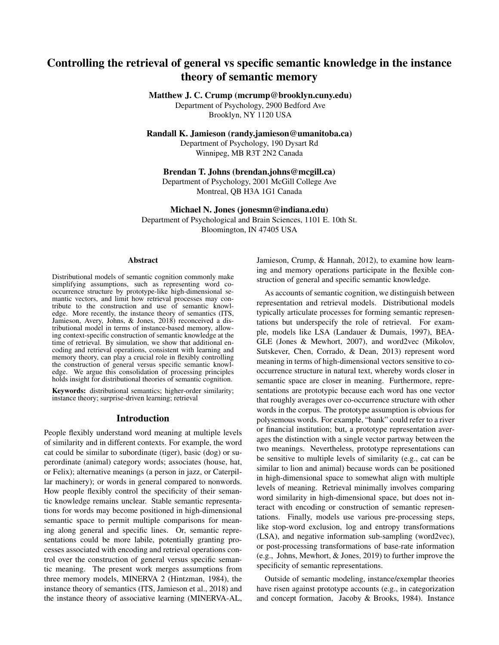# Controlling the retrieval of general vs specific semantic knowledge in the instance theory of semantic memory

# Matthew J. C. Crump (mcrump@brooklyn.cuny.edu)

Department of Psychology, 2900 Bedford Ave Brooklyn, NY 1120 USA

Randall K. Jamieson (randy.jamieson@umanitoba.ca)

Department of Psychology, 190 Dysart Rd Winnipeg, MB R3T 2N2 Canada

# Brendan T. Johns (brendan.johns@mcgill.ca)

Department of Psychology, 2001 McGill College Ave Montreal, QB H3A 1G1 Canada

#### Michael N. Jones (jonesmn@indiana.edu)

Department of Psychological and Brain Sciences, 1101 E. 10th St. Bloomington, IN 47405 USA

## Abstract

Distributional models of semantic cognition commonly make simplifying assumptions, such as representing word cooccurrence structure by prototype-like high-dimensional semantic vectors, and limit how retrieval processes may contribute to the construction and use of semantic knowledge. More recently, the instance theory of semantics (ITS, Jamieson, Avery, Johns, & Jones, 2018) reconceived a distributional model in terms of instance-based memory, allowing context-specific construction of semantic knowledge at the time of retrieval. By simulation, we show that additional encoding and retrieval operations, consistent with learning and memory theory, can play a crucial role in flexibly controlling the construction of general versus specific semantic knowledge. We argue this consolidation of processing principles holds insight for distributional theories of semantic cognition.

Keywords: distributional semantics; higher-order similarity; instance theory; surprise-driven learning; retrieval

## Introduction

People flexibly understand word meaning at multiple levels of similarity and in different contexts. For example, the word cat could be similar to subordinate (tiger), basic (dog) or superordinate (animal) category words; associates (house, hat, or Felix); alternative meanings (a person in jazz, or Caterpillar machinery); or words in general compared to nonwords. How people flexibly control the specificity of their semantic knowledge remains unclear. Stable semantic representations for words may become positioned in high-dimensional semantic space to permit multiple comparisons for meaning along general and specific lines. Or, semantic representations could be more labile, potentially granting processes associated with encoding and retrieval operations control over the construction of general versus specific semantic meaning. The present work merges assumptions from three memory models, MINERVA 2 (Hintzman, 1984), the instance theory of semantics (ITS, Jamieson et al., 2018) and the instance theory of associative learning (MINERVA-AL, Jamieson, Crump, & Hannah, 2012), to examine how learning and memory operations participate in the flexible construction of general and specific semantic knowledge.

As accounts of semantic cognition, we distinguish between representation and retrieval models. Distributional models typically articulate processes for forming semantic representations but underspecify the role of retrieval. For example, models like LSA (Landauer & Dumais, 1997), BEA-GLE (Jones & Mewhort, 2007), and word2vec (Mikolov, Sutskever, Chen, Corrado, & Dean, 2013) represent word meaning in terms of high-dimensional vectors sensitive to cooccurrence structure in natural text, whereby words closer in semantic space are closer in meaning. Furthermore, representations are prototypic because each word has one vector that roughly averages over co-occurrence structure with other words in the corpus. The prototype assumption is obvious for polysemous words. For example, "bank" could refer to a river or financial institution; but, a prototype representation averages the distinction with a single vector partway between the two meanings. Nevertheless, prototype representations can be sensitive to multiple levels of similarity (e.g., cat can be similar to lion and animal) because words can be positioned in high-dimensional space to somewhat align with multiple levels of meaning. Retrieval minimally involves comparing word similarity in high-dimensional space, but does not interact with encoding or construction of semantic representations. Finally, models use various pre-processing steps, like stop-word exclusion, log and entropy transformations (LSA), and negative information sub-sampling (word2vec), or post-processing transformations of base-rate information (e.g., Johns, Mewhort, & Jones, 2019) to further improve the specificity of semantic representations.

Outside of semantic modeling, instance/exemplar theories have risen against prototype accounts (e.g., in categorization and concept formation, Jacoby & Brooks, 1984). Instance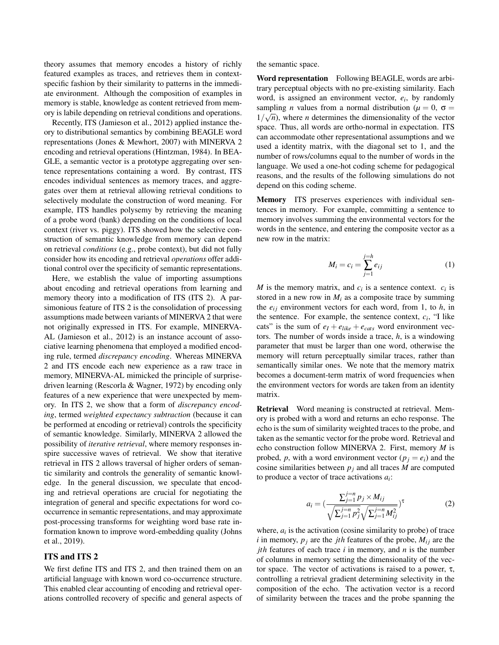theory assumes that memory encodes a history of richly featured examples as traces, and retrieves them in contextspecific fashion by their similarity to patterns in the immediate environment. Although the composition of examples in memory is stable, knowledge as content retrieved from memory is labile depending on retrieval conditions and operations.

Recently, ITS (Jamieson et al., 2012) applied instance theory to distributional semantics by combining BEAGLE word representations (Jones & Mewhort, 2007) with MINERVA 2 encoding and retrieval operations (Hintzman, 1984). In BEA-GLE, a semantic vector is a prototype aggregating over sentence representations containing a word. By contrast, ITS encodes individual sentences as memory traces, and aggregates over them at retrieval allowing retrieval conditions to selectively modulate the construction of word meaning. For example, ITS handles polysemy by retrieving the meaning of a probe word (bank) depending on the conditions of local context (river vs. piggy). ITS showed how the selective construction of semantic knowledge from memory can depend on retrieval *conditions* (e.g., probe context), but did not fully consider how its encoding and retrieval *operations* offer additional control over the specificity of semantic representations.

Here, we establish the value of importing assumptions about encoding and retrieval operations from learning and memory theory into a modification of ITS (ITS 2). A parsimonious feature of ITS 2 is the consolidation of processing assumptions made between variants of MINERVA 2 that were not originally expressed in ITS. For example, MINERVA-AL (Jamieson et al., 2012) is an instance account of associative learning phenomena that employed a modified encoding rule, termed *discrepancy encoding*. Whereas MINERVA 2 and ITS encode each new experience as a raw trace in memory, MINERVA-AL mimicked the principle of surprisedriven learning (Rescorla & Wagner, 1972) by encoding only features of a new experience that were unexpected by memory. In ITS 2, we show that a form of *discrepancy encoding*, termed *weighted expectancy subtraction* (because it can be performed at encoding or retrieval) controls the specificity of semantic knowledge. Similarly, MINERVA 2 allowed the possibility of *iterative retrieval*, where memory responses inspire successive waves of retrieval. We show that iterative retrieval in ITS 2 allows traversal of higher orders of semantic similarity and controls the generality of semantic knowledge. In the general discussion, we speculate that encoding and retrieval operations are crucial for negotiating the integration of general and specific expectations for word cooccurrence in semantic representations, and may approximate post-processing transforms for weighting word base rate information known to improve word-embedding quality (Johns et al., 2019).

## ITS and ITS 2

We first define ITS and ITS 2, and then trained them on an artificial language with known word co-occurrence structure. This enabled clear accounting of encoding and retrieval operations controlled recovery of specific and general aspects of the semantic space.

Word representation Following BEAGLE, words are arbitrary perceptual objects with no pre-existing similarity. Each word, is assigned an environment vector, *e<sup>i</sup>* , by randomly sampling *n* values from a normal distribution ( $\mu = 0$ ,  $\sigma =$  $1/\sqrt{n}$ , where *n* determines the dimensionality of the vector space. Thus, all words are ortho-normal in expectation. ITS can accommodate other representational assumptions and we used a identity matrix, with the diagonal set to 1, and the number of rows/columns equal to the number of words in the language. We used a one-hot coding scheme for pedagogical reasons, and the results of the following simulations do not depend on this coding scheme.

Memory ITS preserves experiences with individual sentences in memory. For example, committing a sentence to memory involves summing the environmental vectors for the words in the sentence, and entering the composite vector as a new row in the matrix:

$$
M_i = c_i = \sum_{j=1}^{j=h} e_{ij}
$$
 (1)

*M* is the memory matrix, and  $c_i$  is a sentence context.  $c_i$  is stored in a new row in  $M_i$  as a composite trace by summing the  $e_{ij}$  environment vectors for each word, from 1, to  $h$ , in the sentence. For example, the sentence context,  $c_i$ , "I like cats" is the sum of  $e_I + e_{like} + e_{cats}$  word environment vectors. The number of words inside a trace, *h*, is a windowing parameter that must be larger than one word, otherwise the memory will return perceptually similar traces, rather than semantically similar ones. We note that the memory matrix becomes a document-term matrix of word frequencies when the environment vectors for words are taken from an identity matrix.

Retrieval Word meaning is constructed at retrieval. Memory is probed with a word and returns an echo response. The echo is the sum of similarity weighted traces to the probe, and taken as the semantic vector for the probe word. Retrieval and echo construction follow MINERVA 2. First, memory *M* is probed, *p*, with a word environment vector  $(p_i = e_i)$  and the cosine similarities between  $p_i$  and all traces  $M$  are computed to produce a vector of trace activations *a<sup>i</sup>* :

$$
a_i = \left(\frac{\sum_{j=1}^{j=n} p_j \times M_{ij}}{\sqrt{\sum_{j=1}^{j=n} p_j^2} \sqrt{\sum_{j=1}^{j=n} M_{ij}^2}}\right)^{\tau}
$$
(2)

where,  $a_i$  is the activation (cosine similarity to probe) of trace *i* in memory,  $p_i$  are the *jth* features of the probe,  $M_{ij}$  are the *jth* features of each trace *i* in memory, and *n* is the number of columns in memory setting the dimensionality of the vector space. The vector of activations is raised to a power,  $\tau$ , controlling a retrieval gradient determining selectivity in the composition of the echo. The activation vector is a record of similarity between the traces and the probe spanning the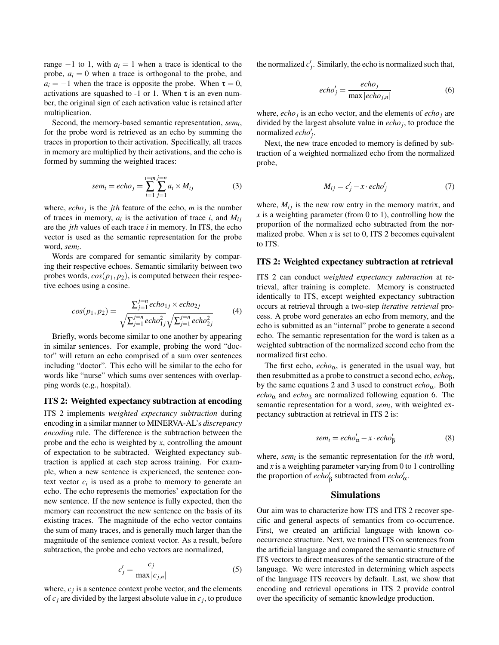range  $-1$  to 1, with  $a_i = 1$  when a trace is identical to the probe,  $a_i = 0$  when a trace is orthogonal to the probe, and  $a_i = -1$  when the trace is opposite the probe. When  $\tau = 0$ , activations are squashed to -1 or 1. When  $\tau$  is an even number, the original sign of each activation value is retained after multiplication.

Second, the memory-based semantic representation, *sem<sup>i</sup>* , for the probe word is retrieved as an echo by summing the traces in proportion to their activation. Specifically, all traces in memory are multiplied by their activations, and the echo is formed by summing the weighted traces:

$$
sem_i = echo_j = \sum_{i=1}^{i=m} \sum_{j=1}^{j=n} a_i \times M_{ij}
$$
 (3)

where,  $echo_j$  is the *jth* feature of the echo, *m* is the number of traces in memory,  $a_i$  is the activation of trace *i*, and  $M_{ij}$ are the *jth* values of each trace *i* in memory. In ITS, the echo vector is used as the semantic representation for the probe word, *sem<sup>i</sup>* .

Words are compared for semantic similarity by comparing their respective echoes. Semantic similarity between two probes words,  $cos(p_1, p_2)$ , is computed between their respective echoes using a cosine.

$$
cos(p_1, p_2) = \frac{\sum_{j=1}^{j=n} echo_{1j} \times echo_{2j}}{\sqrt{\sum_{j=1}^{j=n} echo_{1j}^2} \sqrt{\sum_{j=1}^{j=n} echo_{2j}^2}}
$$
(4)

Briefly, words become similar to one another by appearing in similar sentences. For example, probing the word "doctor" will return an echo comprised of a sum over sentences including "doctor". This echo will be similar to the echo for words like "nurse" which sums over sentences with overlapping words (e.g., hospital).

#### ITS 2: Weighted expectancy subtraction at encoding

ITS 2 implements *weighted expectancy subtraction* during encoding in a similar manner to MINERVA-AL's *discrepancy encoding* rule. The difference is the subtraction between the probe and the echo is weighted by *x*, controlling the amount of expectation to be subtracted. Weighted expectancy subtraction is applied at each step across training. For example, when a new sentence is experienced, the sentence context vector  $c_i$  is used as a probe to memory to generate an echo. The echo represents the memories' expectation for the new sentence. If the new sentence is fully expected, then the memory can reconstruct the new sentence on the basis of its existing traces. The magnitude of the echo vector contains the sum of many traces, and is generally much larger than the magnitude of the sentence context vector. As a result, before subtraction, the probe and echo vectors are normalized,

$$
c'_{j} = \frac{c_{j}}{\max|c_{j,n}|}
$$
 (5)

where,  $c_j$  is a sentence context probe vector, and the elements of  $c_j$  are divided by the largest absolute value in  $c_j$ , to produce the normalized  $c'_{j}$ . Similarly, the echo is normalized such that,

$$
echo_j' = \frac{echo_j}{\max|echo_{j,n}|}
$$
 (6)

where,  $echo_j$  is an echo vector, and the elements of  $echo_j$  are divided by the largest absolute value in *echo<sup>j</sup>* , to produce the normalized  $echo'_{j}$ .

Next, the new trace encoded to memory is defined by subtraction of a weighted normalized echo from the normalized probe,

$$
M_{ij} = c'_j - x \cdot echo'_j \tag{7}
$$

where,  $M_{ij}$  is the new row entry in the memory matrix, and  $x$  is a weighting parameter (from 0 to 1), controlling how the proportion of the normalized echo subtracted from the normalized probe. When  $x$  is set to 0, ITS 2 becomes equivalent to ITS.

#### ITS 2: Weighted expectancy subtraction at retrieval

ITS 2 can conduct *weighted expectancy subtraction* at retrieval, after training is complete. Memory is constructed identically to ITS, except weighted expectancy subtraction occurs at retrieval through a two-step *iterative retrieval* process. A probe word generates an echo from memory, and the echo is submitted as an "internal" probe to generate a second echo. The semantic representation for the word is taken as a weighted subtraction of the normalized second echo from the normalized first echo.

The first echo,  $echo_{\alpha}$ , is generated in the usual way, but then resubmitted as a probe to construct a second echo, *echo*β, by the same equations 2 and 3 used to construct *echo*α. Both  $echo<sub>\alpha</sub>$  and  $echo<sub>\beta</sub>$  are normalized following equation 6. The semantic representation for a word, *sem<sub>i</sub>*, with weighted expectancy subtraction at retrieval in ITS 2 is:

$$
sem_i = echo'_\alpha - x \cdot echo'_\beta \tag{8}
$$

where, *sem<sup>i</sup>* is the semantic representation for the *ith* word, and  $x$  is a weighting parameter varying from 0 to 1 controlling the proportion of  $echo'_{\beta}$  subtracted from  $echo'_{\alpha}$ .

# Simulations

Our aim was to characterize how ITS and ITS 2 recover specific and general aspects of semantics from co-occurrence. First, we created an artificial language with known cooccurrence structure. Next, we trained ITS on sentences from the artificial language and compared the semantic structure of ITS vectors to direct measures of the semantic structure of the language. We were interested in determining which aspects of the language ITS recovers by default. Last, we show that encoding and retrieval operations in ITS 2 provide control over the specificity of semantic knowledge production.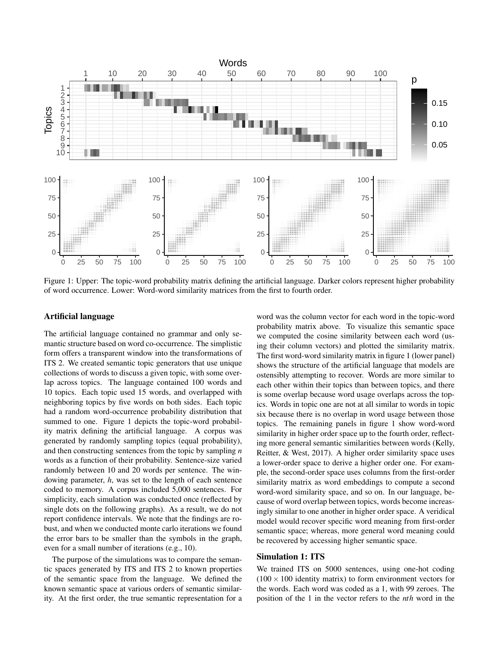

Figure 1: Upper: The topic-word probability matrix defining the artificial language. Darker colors represent higher probability of word occurrence. Lower: Word-word similarity matrices from the first to fourth order.

#### Artificial language

The artificial language contained no grammar and only semantic structure based on word co-occurrence. The simplistic form offers a transparent window into the transformations of ITS 2. We created semantic topic generators that use unique collections of words to discuss a given topic, with some overlap across topics. The language contained 100 words and 10 topics. Each topic used 15 words, and overlapped with neighboring topics by five words on both sides. Each topic had a random word-occurrence probability distribution that summed to one. Figure 1 depicts the topic-word probability matrix defining the artificial language. A corpus was generated by randomly sampling topics (equal probability), and then constructing sentences from the topic by sampling *n* words as a function of their probability. Sentence-size varied randomly between 10 and 20 words per sentence. The windowing parameter, *h*, was set to the length of each sentence coded to memory. A corpus included 5,000 sentences. For simplicity, each simulation was conducted once (reflected by single dots on the following graphs). As a result, we do not report confidence intervals. We note that the findings are robust, and when we conducted monte carlo iterations we found the error bars to be smaller than the symbols in the graph, even for a small number of iterations (e.g., 10).

The purpose of the simulations was to compare the semantic spaces generated by ITS and ITS 2 to known properties of the semantic space from the language. We defined the known semantic space at various orders of semantic similarity. At the first order, the true semantic representation for a word was the column vector for each word in the topic-word probability matrix above. To visualize this semantic space we computed the cosine similarity between each word (using their column vectors) and plotted the similarity matrix. The first word-word similarity matrix in figure 1 (lower panel) shows the structure of the artificial language that models are ostensibly attempting to recover. Words are more similar to each other within their topics than between topics, and there is some overlap because word usage overlaps across the topics. Words in topic one are not at all similar to words in topic six because there is no overlap in word usage between those topics. The remaining panels in figure 1 show word-word similarity in higher order space up to the fourth order, reflecting more general semantic similarities between words (Kelly, Reitter, & West, 2017). A higher order similarity space uses a lower-order space to derive a higher order one. For example, the second-order space uses columns from the first-order similarity matrix as word embeddings to compute a second word-word similarity space, and so on. In our language, because of word overlap between topics, words become increasingly similar to one another in higher order space. A veridical model would recover specific word meaning from first-order semantic space; whereas, more general word meaning could be recovered by accessing higher semantic space.

# Simulation 1: ITS

We trained ITS on 5000 sentences, using one-hot coding  $(100 \times 100)$  identity matrix) to form environment vectors for the words. Each word was coded as a 1, with 99 zeroes. The position of the 1 in the vector refers to the *nth* word in the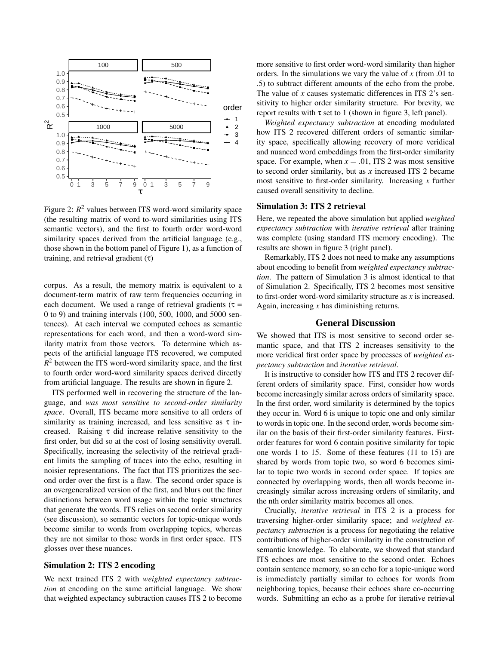

Figure 2:  $R^2$  values between ITS word-word similarity space (the resulting matrix of word to-word similarities using ITS semantic vectors), and the first to fourth order word-word similarity spaces derived from the artificial language (e.g., those shown in the bottom panel of Figure 1), as a function of training, and retrieval gradient  $(τ)$ 

corpus. As a result, the memory matrix is equivalent to a document-term matrix of raw term frequencies occurring in each document. We used a range of retrieval gradients ( $\tau$  = 0 to 9) and training intervals (100, 500, 1000, and 5000 sentences). At each interval we computed echoes as semantic representations for each word, and then a word-word similarity matrix from those vectors. To determine which aspects of the artificial language ITS recovered, we computed  $R<sup>2</sup>$  between the ITS word-word similarity space, and the first to fourth order word-word similarity spaces derived directly from artificial language. The results are shown in figure 2.

ITS performed well in recovering the structure of the language, and *was most sensitive to second-order similarity space*. Overall, ITS became more sensitive to all orders of similarity as training increased, and less sensitive as  $\tau$  increased. Raising  $\tau$  did increase relative sensitivity to the first order, but did so at the cost of losing sensitivity overall. Specifically, increasing the selectivity of the retrieval gradient limits the sampling of traces into the echo, resulting in noisier representations. The fact that ITS prioritizes the second order over the first is a flaw. The second order space is an overgeneralized version of the first, and blurs out the finer distinctions between word usage within the topic structures that generate the words. ITS relies on second order similarity (see discussion), so semantic vectors for topic-unique words become similar to words from overlapping topics, whereas they are not similar to those words in first order space. ITS glosses over these nuances.

## Simulation 2: ITS 2 encoding

We next trained ITS 2 with *weighted expectancy subtraction* at encoding on the same artificial language. We show that weighted expectancy subtraction causes ITS 2 to become more sensitive to first order word-word similarity than higher orders. In the simulations we vary the value of *x* (from .01 to .5) to subtract different amounts of the echo from the probe. The value of *x* causes systematic differences in ITS 2's sensitivity to higher order similarity structure. For brevity, we report results with  $\tau$  set to 1 (shown in figure 3, left panel).

*Weighted expectancy subtraction* at encoding modulated how ITS 2 recovered different orders of semantic similarity space, specifically allowing recovery of more veridical and nuanced word embeddings from the first-order similarity space. For example, when  $x = .01$ , ITS 2 was most sensitive to second order similarity, but as *x* increased ITS 2 became most sensitive to first-order similarity. Increasing *x* further caused overall sensitivity to decline.

#### Simulation 3: ITS 2 retrieval

Here, we repeated the above simulation but applied *weighted expectancy subtraction* with *iterative retrieval* after training was complete (using standard ITS memory encoding). The results are shown in figure 3 (right panel).

Remarkably, ITS 2 does not need to make any assumptions about encoding to benefit from *weighted expectancy subtraction*. The pattern of Simulation 3 is almost identical to that of Simulation 2. Specifically, ITS 2 becomes most sensitive to first-order word-word similarity structure as *x* is increased. Again, increasing *x* has diminishing returns.

# General Discussion

We showed that ITS is most sensitive to second order semantic space, and that ITS 2 increases sensitivity to the more veridical first order space by processes of *weighted expectancy subtraction* and *iterative retrieval*.

It is instructive to consider how ITS and ITS 2 recover different orders of similarity space. First, consider how words become increasingly similar across orders of similarity space. In the first order, word similarity is determined by the topics they occur in. Word 6 is unique to topic one and only similar to words in topic one. In the second order, words become similar on the basis of their first-order similarity features. Firstorder features for word 6 contain positive similarity for topic one words 1 to 15. Some of these features (11 to 15) are shared by words from topic two, so word 6 becomes similar to topic two words in second order space. If topics are connected by overlapping words, then all words become increasingly similar across increasing orders of similarity, and the nth order similarity matrix becomes all ones.

Crucially, *iterative retrieval* in ITS 2 is a process for traversing higher-order similarity space; and *weighted expectancy subtraction* is a process for negotiating the relative contributions of higher-order similarity in the construction of semantic knowledge. To elaborate, we showed that standard ITS echoes are most sensitive to the second order. Echoes contain sentence memory, so an echo for a topic-unique word is immediately partially similar to echoes for words from neighboring topics, because their echoes share co-occurring words. Submitting an echo as a probe for iterative retrieval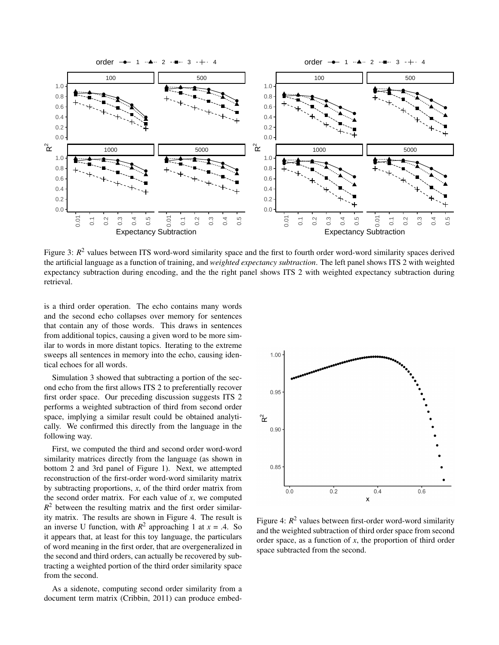

Figure 3:  $R^2$  values between ITS word-word similarity space and the first to fourth order word-word similarity spaces derived the artificial language as a function of training, and *weighted expectancy subtraction*. The left panel shows ITS 2 with weighted expectancy subtraction during encoding, and the the right panel shows ITS 2 with weighted expectancy subtraction during retrieval.

is a third order operation. The echo contains many words and the second echo collapses over memory for sentences that contain any of those words. This draws in sentences from additional topics, causing a given word to be more similar to words in more distant topics. Iterating to the extreme sweeps all sentences in memory into the echo, causing identical echoes for all words.

Simulation 3 showed that subtracting a portion of the second echo from the first allows ITS 2 to preferentially recover first order space. Our preceding discussion suggests ITS 2 performs a weighted subtraction of third from second order space, implying a similar result could be obtained analytically. We confirmed this directly from the language in the following way.

First, we computed the third and second order word-word similarity matrices directly from the language (as shown in bottom 2 and 3rd panel of Figure 1). Next, we attempted reconstruction of the first-order word-word similarity matrix by subtracting proportions, *x*, of the third order matrix from the second order matrix. For each value of  $x$ , we computed  $R<sup>2</sup>$  between the resulting matrix and the first order similarity matrix. The results are shown in Figure 4. The result is an inverse U function, with  $R^2$  approaching 1 at  $x = .4$ . So it appears that, at least for this toy language, the particulars of word meaning in the first order, that are overgeneralized in the second and third orders, can actually be recovered by subtracting a weighted portion of the third order similarity space from the second.

As a sidenote, computing second order similarity from a document term matrix (Cribbin, 2011) can produce embed-



Figure 4: *R* <sup>2</sup> values between first-order word-word similarity and the weighted subtraction of third order space from second order space, as a function of *x*, the proportion of third order space subtracted from the second.